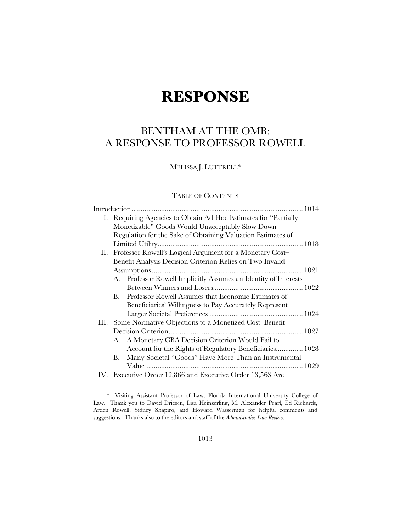# **RESPONSE**

# BENTHAM AT THE OMB: A RESPONSE TO PROFESSOR ROWELL

MELISSA J. LUTTRELL\*

# TABLE OF CONTENTS

|                                                                 |                                                                 | 1014 |  |
|-----------------------------------------------------------------|-----------------------------------------------------------------|------|--|
| I. Requiring Agencies to Obtain Ad Hoc Estimates for "Partially |                                                                 |      |  |
| Monetizable" Goods Would Unacceptably Slow Down                 |                                                                 |      |  |
| Regulation for the Sake of Obtaining Valuation Estimates of     |                                                                 |      |  |
|                                                                 |                                                                 |      |  |
|                                                                 | II. Professor Rowell's Logical Argument for a Monetary Cost-    |      |  |
| Benefit Analysis Decision Criterion Relies on Two Invalid       |                                                                 |      |  |
|                                                                 |                                                                 |      |  |
|                                                                 | A. Professor Rowell Implicitly Assumes an Identity of Interests |      |  |
|                                                                 |                                                                 |      |  |
| В.                                                              | Professor Rowell Assumes that Economic Estimates of             |      |  |
|                                                                 | Beneficiaries' Willingness to Pay Accurately Represent          |      |  |
|                                                                 |                                                                 |      |  |
| III. Some Normative Objections to a Monetized Cost-Benefit      |                                                                 |      |  |
|                                                                 |                                                                 |      |  |
|                                                                 | A. A Monetary CBA Decision Criterion Would Fail to              |      |  |
|                                                                 | Account for the Rights of Regulatory Beneficiaries 1028         |      |  |
| В.                                                              | Many Societal "Goods" Have More Than an Instrumental            |      |  |
|                                                                 |                                                                 |      |  |
| IV. Executive Order 12,866 and Executive Order 13,563 Are       |                                                                 |      |  |

 <sup>\*</sup> Visiting Assistant Professor of Law, Florida International University College of Law. Thank you to David Driesen, Lisa Heinzerling, M. Alexander Pearl, Ed Richards, Arden Rowell, Sidney Shapiro, and Howard Wasserman for helpful comments and suggestions. Thanks also to the editors and staff of the *Administrative Law Review*.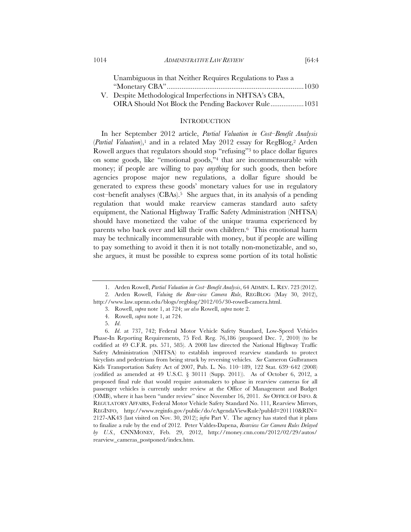Unambiguous in that Neither Requires Regulations to Pass a "Monetary CBA" .......................................................................... 1030 V. Despite Methodological Imperfections in NHTSA's CBA,

OIRA Should Not Block the Pending Backover Rule .................. 1031

#### **INTRODUCTION**

In her September 2012 article, *Partial Valuation in Cost–Benefit Analysis*  (*Partial Valuation*),1 and in a related May 2012 essay for RegBlog,2 Arden Rowell argues that regulators should stop "refusing"3 to place dollar figures on some goods, like "emotional goods,"4 that are incommensurable with money; if people are willing to pay *anything* for such goods, then before agencies propose major new regulations, a dollar figure should be generated to express these goods' monetary values for use in regulatory  $cost$ -benefit analyses (CBAs).<sup>5</sup> She argues that, in its analysis of a pending regulation that would make rearview cameras standard auto safety equipment, the National Highway Traffic Safety Administration (NHTSA) should have monetized the value of the unique trauma experienced by parents who back over and kill their own children.6 This emotional harm may be technically incommensurable with money, but if people are willing to pay something to avoid it then it is not totally non-monetizable, and so, she argues, it must be possible to express some portion of its total holistic

 <sup>1.</sup> Arden Rowell, *Partial Valuation in Cost–Benefit Analysis*, 64 ADMIN. L. REV. 723 (2012).

 <sup>2.</sup> Arden Rowell, *Valuing the Rear-view Camera Rule*, REGBLOG (May 30, 2012), http://www.law.upenn.edu/blogs/regblog/2012/05/30-rowell-camera.html.

 <sup>3.</sup> Rowell, *supra* note 1, at 724; *see also* Rowell, *supra* note 2.

 <sup>4.</sup> Rowell, *supra* note 1, at 724.

 <sup>5.</sup> *Id*.

 <sup>6.</sup> *Id*. at 737, 742; Federal Motor Vehicle Safety Standard, Low-Speed Vehicles Phase-In Reporting Requirements, 75 Fed. Reg. 76,186 (proposed Dec. 7, 2010) (to be codified at 49 C.F.R. pts. 571, 585). A 2008 law directed the National Highway Traffic Safety Administration (NHTSA) to establish improved rearview standards to protect bicyclists and pedestrians from being struck by reversing vehicles. *See* Cameron Gulbransen Kids Transportation Safety Act of 2007, Pub. L. No. 110–189, 122 Stat. 639–642 (2008) (codified as amended at 49 U.S.C. § 30111 (Supp. 2011)). As of October 6, 2012, a proposed final rule that would require automakers to phase in rearview cameras for all passenger vehicles is currently under review at the Office of Management and Budget (OMB), where it has been "under review" since November 16, 2011. *See* OFFICE OF INFO. & REGULATORY AFFAIRS, Federal Motor Vehicle Safety Standard No. 111, Rearview Mirrors, REGINFO, http://www.reginfo.gov/public/do/eAgendaViewRule?pubId=201110&RIN= 2127-AK43 (last visited on Nov. 30, 2012); *infra* Part V. The agency has stated that it plans to finalize a rule by the end of 2012. Peter Valdes-Dapena, *Rearview Car Camera Rules Delayed by U.S.*, CNNMONEY, Feb. 29, 2012, http://money.cnn.com/2012/02/29/autos/ rearview\_cameras\_postponed/index.htm.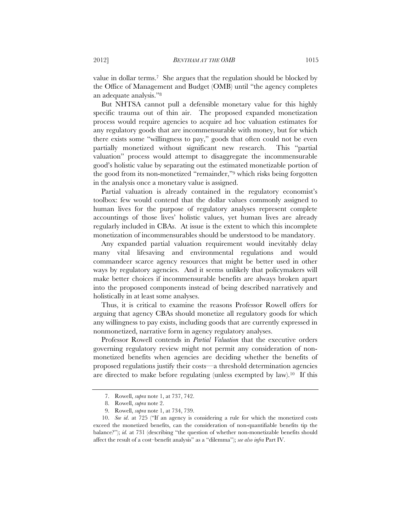value in dollar terms.7 She argues that the regulation should be blocked by the Office of Management and Budget (OMB) until "the agency completes an adequate analysis."8

But NHTSA cannot pull a defensible monetary value for this highly specific trauma out of thin air. The proposed expanded monetization process would require agencies to acquire ad hoc valuation estimates for any regulatory goods that are incommensurable with money, but for which there exists some "willingness to pay," goods that often could not be even partially monetized without significant new research. This "partial valuation" process would attempt to disaggregate the incommensurable good's holistic value by separating out the estimated monetizable portion of the good from its non-monetized "remainder,"9 which risks being forgotten in the analysis once a monetary value is assigned.

Partial valuation is already contained in the regulatory economist's toolbox: few would contend that the dollar values commonly assigned to human lives for the purpose of regulatory analyses represent complete accountings of those lives' holistic values, yet human lives are already regularly included in CBAs. At issue is the extent to which this incomplete monetization of incommensurables should be understood to be mandatory.

Any expanded partial valuation requirement would inevitably delay many vital lifesaving and environmental regulations and would commandeer scarce agency resources that might be better used in other ways by regulatory agencies. And it seems unlikely that policymakers will make better choices if incommensurable benefits are always broken apart into the proposed components instead of being described narratively and holistically in at least some analyses.

Thus, it is critical to examine the reasons Professor Rowell offers for arguing that agency CBAs should monetize all regulatory goods for which any willingness to pay exists, including goods that are currently expressed in nonmonetized, narrative form in agency regulatory analyses.

Professor Rowell contends in *Partial Valuation* that the executive orders governing regulatory review might not permit any consideration of nonmonetized benefits when agencies are deciding whether the benefits of proposed regulations justify their costs—a threshold determination agencies are directed to make before regulating (unless exempted by law).10 If this

 <sup>7.</sup> Rowell, *supra* note 1, at 737, 742.

 <sup>8.</sup> Rowell, *supra* note 2.

 <sup>9.</sup> Rowell, *supra* note 1, at 734, 739.

 <sup>10.</sup> *See id*. at 725 ("If an agency is considering a rule for which the monetized costs exceed the monetized benefits, can the consideration of non-quantifiable benefits tip the balance?"); *id.* at 731 (describing "the question of whether non-monetizable benefits should affect the result of a cost–benefit analysis" as a "dilemma"); *see also infra* Part IV.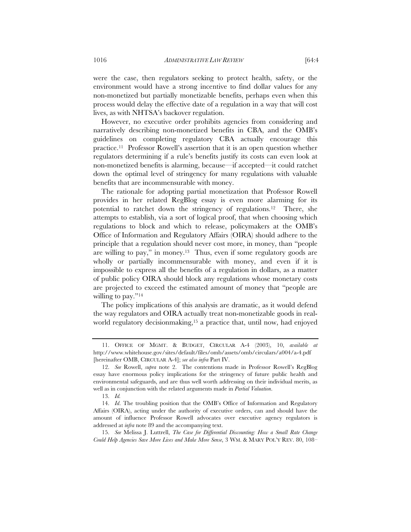were the case, then regulators seeking to protect health, safety, or the environment would have a strong incentive to find dollar values for any non-monetized but partially monetizable benefits, perhaps even when this process would delay the effective date of a regulation in a way that will cost lives, as with NHTSA's backover regulation.

However, no executive order prohibits agencies from considering and narratively describing non-monetized benefits in CBA, and the OMB's guidelines on completing regulatory CBA actually encourage this practice.11 Professor Rowell's assertion that it is an open question whether regulators determining if a rule's benefits justify its costs can even look at non-monetized benefits is alarming, because—if accepted—it could ratchet down the optimal level of stringency for many regulations with valuable benefits that are incommensurable with money.

The rationale for adopting partial monetization that Professor Rowell provides in her related RegBlog essay is even more alarming for its potential to ratchet down the stringency of regulations.12 There, she attempts to establish, via a sort of logical proof, that when choosing which regulations to block and which to release, policymakers at the OMB's Office of Information and Regulatory Affairs (OIRA) should adhere to the principle that a regulation should never cost more, in money, than "people are willing to pay," in money.13 Thus, even if some regulatory goods are wholly or partially incommensurable with money, and even if it is impossible to express all the benefits of a regulation in dollars, as a matter of public policy OIRA should block any regulations whose monetary costs are projected to exceed the estimated amount of money that "people are willing to pay."<sup>14</sup>

The policy implications of this analysis are dramatic, as it would defend the way regulators and OIRA actually treat non-monetizable goods in realworld regulatory decisionmaking,<sup>15</sup> a practice that, until now, had enjoyed

 15. *See* Melissa J. Luttrell, *The Case for Differential Discounting: How a Small Rate Change Could Help Agencies Save More Lives and Make More Sense*, 3 WM. & MARY POL'Y REV. 80, 108–

 <sup>11.</sup> OFFICE OF MGMT. & BUDGET, CIRCULAR A-4 (2003), 10, *available at* http://www.whitehouse.gov/sites/default/files/omb/assets/omb/circulars/a004/a-4.pdf [hereinafter OMB, CIRCULAR A-4]; *see also infra* Part IV.

 <sup>12.</sup> *See* Rowell, *supra* note 2. The contentions made in Professor Rowell's RegBlog essay have enormous policy implications for the stringency of future public health and environmental safeguards, and are thus well worth addressing on their individual merits, as well as in conjunction with the related arguments made in *Partial Valuation*.

 <sup>13.</sup> *Id.*

 <sup>14.</sup> *Id*. The troubling position that the OMB's Office of Information and Regulatory Affairs (OIRA), acting under the authority of executive orders, can and should have the amount of influence Professor Rowell advocates over executive agency regulators is addressed at *infra* note 89 and the accompanying text.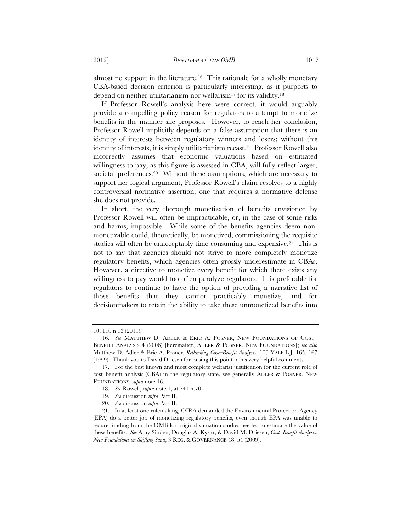almost no support in the literature.16 This rationale for a wholly monetary CBA-based decision criterion is particularly interesting, as it purports to depend on neither utilitarianism nor welfarism<sup>17</sup> for its validity.<sup>18</sup>

If Professor Rowell's analysis here were correct, it would arguably provide a compelling policy reason for regulators to attempt to monetize benefits in the manner she proposes. However, to reach her conclusion, Professor Rowell implicitly depends on a false assumption that there is an identity of interests between regulatory winners and losers; without this identity of interests, it is simply utilitarianism recast.19 Professor Rowell also incorrectly assumes that economic valuations based on estimated willingness to pay, as this figure is assessed in CBA, will fully reflect larger, societal preferences.<sup>20</sup> Without these assumptions, which are necessary to support her logical argument, Professor Rowell's claim resolves to a highly controversial normative assertion, one that requires a normative defense she does not provide.

In short, the very thorough monetization of benefits envisioned by Professor Rowell will often be impracticable, or, in the case of some risks and harms, impossible. While some of the benefits agencies deem nonmonetizable could, theoretically, be monetized, commissioning the requisite studies will often be unacceptably time consuming and expensive.<sup>21</sup> This is not to say that agencies should not strive to more completely monetize regulatory benefits, which agencies often grossly underestimate in CBAs. However, a directive to monetize every benefit for which there exists any willingness to pay would too often paralyze regulators. It is preferable for regulators to continue to have the option of providing a narrative list of those benefits that they cannot practicably monetize, and for decisionmakers to retain the ability to take these unmonetized benefits into

<sup>10, 110</sup> n.93 (2011).

 <sup>16.</sup> *See* MATTHEW D. ADLER & ERIC A. POSNER, NEW FOUNDATIONS OF COST– BENEFIT ANALYSIS 4 (2006) [hereinafter, ADLER & POSNER, NEW FOUNDATIONS]; *see also*  Matthew D. Adler & Eric A. Posner, *Rethinking Cost–Benefit Analysis*, 109 YALE L.J. 165, 167 (1999). Thank you to David Driesen for raising this point in his very helpful comments.

 <sup>17.</sup> For the best known and most complete welfarist justification for the current role of cost–benefit analysis (CBA) in the regulatory state, see generally ADLER & POSNER, NEW FOUNDATIONS, *supra* note 16.

 <sup>18.</sup> *See* Rowell, *supra* note 1, at 741 n.70.

 <sup>19.</sup> *See* discussion *infra* Part II.

 <sup>20.</sup> *See* discussion *infra* Part II.

 <sup>21.</sup> In at least one rulemaking, OIRA demanded the Environmental Protection Agency (EPA) do a better job of monetizing regulatory benefits, even though EPA was unable to secure funding from the OMB for original valuation studies needed to estimate the value of these benefits. *See* Amy Sinden, Douglas A. Kysar, & David M. Driesen, *Cost–Benefit Analysis: New Foundations on Shifting Sand*, 3 REG. & GOVERNANCE 48, 54 (2009).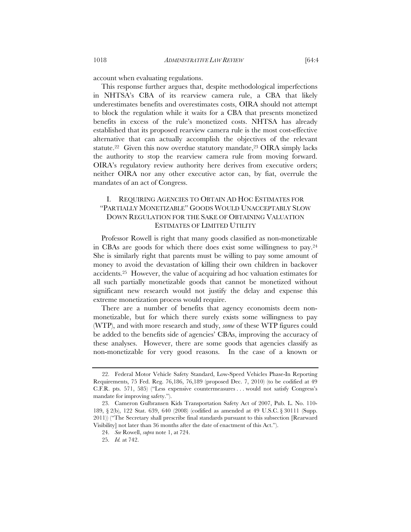This response further argues that, despite methodological imperfections in NHTSA's CBA of its rearview camera rule, a CBA that likely underestimates benefits and overestimates costs, OIRA should not attempt to block the regulation while it waits for a CBA that presents monetized benefits in excess of the rule's monetized costs. NHTSA has already established that its proposed rearview camera rule is the most cost-effective alternative that can actually accomplish the objectives of the relevant statute.<sup>22</sup> Given this now overdue statutory mandate,<sup>23</sup> OIRA simply lacks the authority to stop the rearview camera rule from moving forward. OIRA's regulatory review authority here derives from executive orders; neither OIRA nor any other executive actor can, by fiat, overrule the mandates of an act of Congress.

# I. REQUIRING AGENCIES TO OBTAIN AD HOC ESTIMATES FOR "PARTIALLY MONETIZABLE" GOODS WOULD UNACCEPTABLY SLOW DOWN REGULATION FOR THE SAKE OF OBTAINING VALUATION ESTIMATES OF LIMITED UTILITY

Professor Rowell is right that many goods classified as non-monetizable in CBAs are goods for which there does exist some willingness to pay.24 She is similarly right that parents must be willing to pay some amount of money to avoid the devastation of killing their own children in backover accidents.25 However, the value of acquiring ad hoc valuation estimates for all such partially monetizable goods that cannot be monetized without significant new research would not justify the delay and expense this extreme monetization process would require.

There are a number of benefits that agency economists deem nonmonetizable, but for which there surely exists some willingness to pay (WTP), and with more research and study, *some* of these WTP figures could be added to the benefits side of agencies' CBAs, improving the accuracy of these analyses. However, there are some goods that agencies classify as non-monetizable for very good reasons. In the case of a known or

 <sup>22.</sup> Federal Motor Vehicle Safety Standard, Low-Speed Vehicles Phase-In Reporting Requirements, 75 Fed. Reg. 76,186, 76,189 (proposed Dec. 7, 2010) (to be codified at 49 C.F.R. pts. 571, 585) ("Less expensive countermeasures . . . would not satisfy Congress's mandate for improving safety.").

 <sup>23.</sup> Cameron Gulbransen Kids Transportation Safety Act of 2007, Pub. L. No. 110- 189, § 2(b), 122 Stat. 639, 640 (2008) (codified as amended at 49 U.S.C. § 30111 (Supp. 2011)) ("The Secretary shall prescribe final standards pursuant to this subsection [Rearward Visibility] not later than 36 months after the date of enactment of this Act.").

 <sup>24.</sup> *See* Rowell, *supra* note 1, at 724.

 <sup>25.</sup> *Id.* at 742.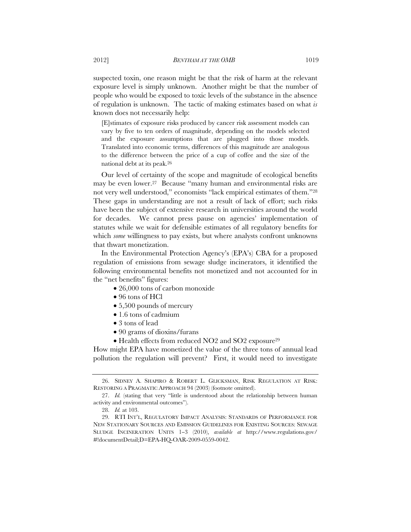suspected toxin, one reason might be that the risk of harm at the relevant exposure level is simply unknown. Another might be that the number of people who would be exposed to toxic levels of the substance in the absence of regulation is unknown. The tactic of making estimates based on what *is* known does not necessarily help:

[E]stimates of exposure risks produced by cancer risk assessment models can vary by five to ten orders of magnitude, depending on the models selected and the exposure assumptions that are plugged into those models. Translated into economic terms, differences of this magnitude are analogous to the difference between the price of a cup of coffee and the size of the national debt at its peak.26

Our level of certainty of the scope and magnitude of ecological benefits may be even lower.27 Because "many human and environmental risks are not very well understood," economists "lack empirical estimates of them."28 These gaps in understanding are not a result of lack of effort; such risks have been the subject of extensive research in universities around the world for decades. We cannot press pause on agencies' implementation of statutes while we wait for defensible estimates of all regulatory benefits for which *some* willingness to pay exists, but where analysts confront unknowns that thwart monetization.

In the Environmental Protection Agency's (EPA's) CBA for a proposed regulation of emissions from sewage sludge incinerators, it identified the following environmental benefits not monetized and not accounted for in the "net benefits" figures:

- 26,000 tons of carbon monoxide
- 96 tons of HCl
- 5,500 pounds of mercury
- 1.6 tons of cadmium
- 3 tons of lead
- 90 grams of dioxins/furans
- $\bullet$  Health effects from reduced NO2 and SO2 exposure<sup>29</sup>

How might EPA have monetized the value of the three tons of annual lead pollution the regulation will prevent? First, it would need to investigate

 <sup>26.</sup> SIDNEY A. SHAPIRO & ROBERT L. GLICKSMAN, RISK REGULATION AT RISK: RESTORING A PRAGMATIC APPROACH 94 (2003) (footnote omitted).

 <sup>27.</sup> *Id.* (stating that very "little is understood about the relationship between human activity and environmental outcomes").

 <sup>28.</sup> *Id.* at 103.

 <sup>29.</sup> RTI INT'L, REGULATORY IMPACT ANALYSIS: STANDARDS OF PERFORMANCE FOR NEW STATIONARY SOURCES AND EMISSION GUIDELINES FOR EXISTING SOURCES: SEWAGE SLUDGE INCINERATION UNITS 1–3 (2010), *available at* http://www.regulations.gov/ #!documentDetail;D=EPA-HQ-OAR-2009-0559-0042.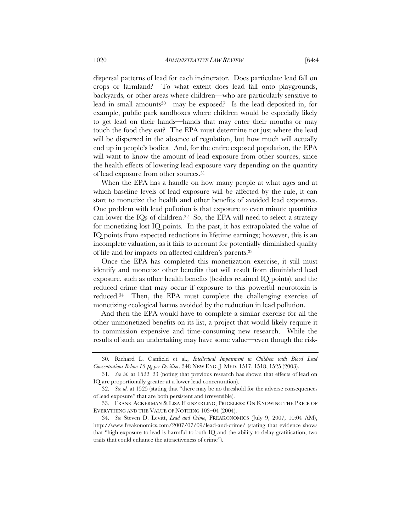dispersal patterns of lead for each incinerator. Does particulate lead fall on crops or farmland? To what extent does lead fall onto playgrounds, backyards, or other areas where children—who are particularly sensitive to lead in small amounts30—may be exposed? Is the lead deposited in, for example, public park sandboxes where children would be especially likely to get lead on their hands—hands that may enter their mouths or may touch the food they eat? The EPA must determine not just where the lead will be dispersed in the absence of regulation, but how much will actually end up in people's bodies. And, for the entire exposed population, the EPA will want to know the amount of lead exposure from other sources, since the health effects of lowering lead exposure vary depending on the quantity of lead exposure from other sources.31

When the EPA has a handle on how many people at what ages and at which baseline levels of lead exposure will be affected by the rule, it can start to monetize the health and other benefits of avoided lead exposures. One problem with lead pollution is that exposure to even minute quantities can lower the IQs of children.<sup>32</sup> So, the EPA will need to select a strategy for monetizing lost IQ points. In the past, it has extrapolated the value of IQ points from expected reductions in lifetime earnings; however, this is an incomplete valuation, as it fails to account for potentially diminished quality of life and for impacts on affected children's parents.33

Once the EPA has completed this monetization exercise, it still must identify and monetize other benefits that will result from diminished lead exposure, such as other health benefits (besides retained IQ points), and the reduced crime that may occur if exposure to this powerful neurotoxin is reduced.34 Then, the EPA must complete the challenging exercise of monetizing ecological harms avoided by the reduction in lead pollution.

And then the EPA would have to complete a similar exercise for all the other unmonetized benefits on its list, a project that would likely require it to commission expensive and time-consuming new research. While the results of such an undertaking may have some value—even though the risk-

 <sup>30.</sup> Richard L. Canfield et al., *Intellectual Impairment in Children with Blood Lead Concentrations Below 10* μ*g per Deciliter*, 348 NEW ENG. J. MED. 1517, 1518, 1525 (2003).

 <sup>31.</sup> *See id.* at 1522–23 (noting that previous research has shown that effects of lead on IQ are proportionally greater at a lower lead concentration).

 <sup>32.</sup> *See id.* at 1525 (stating that "there may be no threshold for the adverse consequences of lead exposure" that are both persistent and irreversible).

 <sup>33.</sup> FRANK ACKERMAN & LISA HEINZERLING, PRICELESS: ON KNOWING THE PRICE OF EVERYTHING AND THE VALUE OF NOTHING 103–04 (2004).

 <sup>34.</sup> *See* Steven D. Levitt, *Lead and Crime*, FREAKONOMICS (July 9, 2007, 10:04 AM), http://www.freakonomics.com/2007/07/09/lead-and-crime/ (stating that evidence shows that "high exposure to lead is harmful to both IQ and the ability to delay gratification, two traits that could enhance the attractiveness of crime").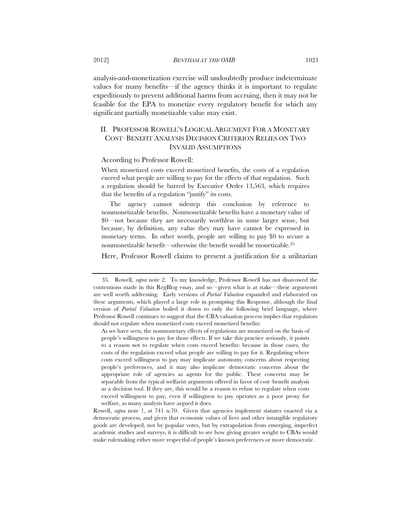analysis-and-monetization exercise will undoubtedly produce indeterminate values for many benefits—if the agency thinks it is important to regulate expeditiously to prevent additional harms from accruing, then it may not be feasible for the EPA to monetize every regulatory benefit for which any significant partially monetizable value may exist.

# II. PROFESSOR ROWELL'S LOGICAL ARGUMENT FOR A MONETARY COST–BENEFIT ANALYSIS DECISION CRITERION RELIES ON TWO INVALID ASSUMPTIONS

#### According to Professor Rowell:

When monetized costs exceed monetized benefits, the costs of a regulation exceed what people are willing to pay for the effects of that regulation. Such a regulation should be barred by Executive Order 13,563, which requires that the benefits of a regulation "justify" its costs.

The agency cannot sidestep this conclusion by reference to nonmonetizable benefits. Nonmonetizable benefits have a monetary value of \$0—not because they are necessarily worthless in some larger sense, but because, by definition, any value they may have cannot be expressed in monetary terms. In other words, people are willing to pay \$0 to secure a nonmonetizable benefit—otherwise the benefit would be monetizable.35

Here, Professor Rowell claims to present a justification for a utilitarian

Rowell, *supra* note 1, at 741 n.70. Given that agencies implement statutes enacted via a democratic process, and given that economic values of lives and other intangible regulatory goods are developed, not by popular votes, but by extrapolation from emerging, imperfect academic studies and surveys, it is difficult to see how giving greater weight to CBAs would make rulemaking either more respectful of people's known preferences or more democratic.

 <sup>35.</sup> Rowell, *supra* note 2. To my knowledge, Professor Rowell has not disavowed the contentions made in this RegBlog essay, and so—given what is at stake—these arguments are well worth addressing. Early versions of *Partial Valuation* expanded and elaborated on these arguments, which played a large role in prompting this Response, although the final version of *Partial Valuation* boiled it down to only the following brief language, where Professor Rowell continues to suggest that the CBA valuation process implies that regulators should not regulate when monetized costs exceed monetized benefits:

As we have seen, the nonmonetary effects of regulations are monetized on the basis of people's willingness to pay for those effects. If we take this practice seriously, it points to a reason not to regulate when costs exceed benefits: because in those cases, the costs of the regulation exceed what people are willing to pay for it. Regulating where costs exceed willingness to pay may implicate autonomy concerns about respecting people's preferences, and it may also implicate democratic concerns about the appropriate role of agencies as agents for the public. These concerns may be separable from the typical welfarist arguments offered in favor of cost–benefit analysis as a decision tool. If they are, this would be a reason to refuse to regulate when costs exceed willingness to pay, even if willingness to pay operates as a poor proxy for welfare, as many analysts have argued it does.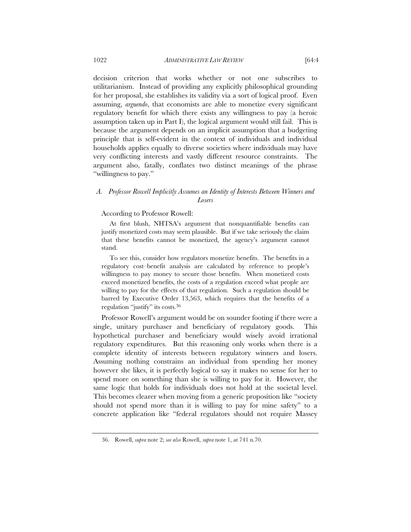decision criterion that works whether or not one subscribes to utilitarianism. Instead of providing any explicitly philosophical grounding for her proposal, she establishes its validity via a sort of logical proof. Even assuming, *arguendo*, that economists are able to monetize every significant regulatory benefit for which there exists any willingness to pay (a heroic assumption taken up in Part I), the logical argument would still fail. This is because the argument depends on an implicit assumption that a budgeting principle that is self-evident in the context of individuals and individual households applies equally to diverse societies where individuals may have very conflicting interests and vastly different resource constraints. The argument also, fatally, conflates two distinct meanings of the phrase "willingness to pay."

# *A. Professor Rowell Implicitly Assumes an Identity of Interests Between Winners and Losers*

#### According to Professor Rowell:

At first blush, NHTSA's argument that nonquantifiable benefits can justify monetized costs may seem plausible. But if we take seriously the claim that these benefits cannot be monetized, the agency's argument cannot stand.

To see this, consider how regulators monetize benefits. The benefits in a regulatory cost–benefit analysis are calculated by reference to people's willingness to pay money to secure those benefits. When monetized costs exceed monetized benefits, the costs of a regulation exceed what people are willing to pay for the effects of that regulation. Such a regulation should be barred by Executive Order 13,563, which requires that the benefits of a regulation "justify" its costs.36

Professor Rowell's argument would be on sounder footing if there were a single, unitary purchaser and beneficiary of regulatory goods. This hypothetical purchaser and beneficiary would wisely avoid irrational regulatory expenditures. But this reasoning only works when there is a complete identity of interests between regulatory winners and losers. Assuming nothing constrains an individual from spending her money however she likes, it is perfectly logical to say it makes no sense for her to spend more on something than she is willing to pay for it. However, the same logic that holds for individuals does not hold at the societal level. This becomes clearer when moving from a generic proposition like "society should not spend more than it is willing to pay for mine safety" to a concrete application like "federal regulators should not require Massey

 <sup>36.</sup> Rowell, *supra* note 2; *see also* Rowell, *supra* note 1, at 741 n.70.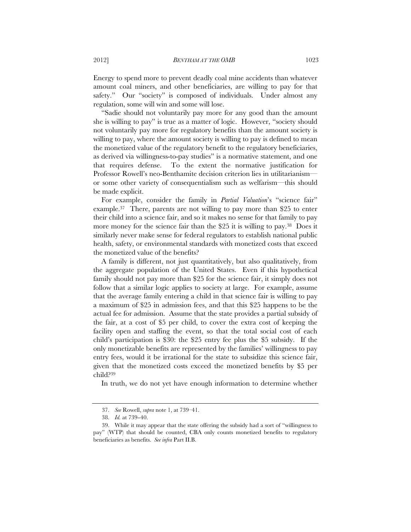Energy to spend more to prevent deadly coal mine accidents than whatever amount coal miners, and other beneficiaries, are willing to pay for that safety." Our "society" is composed of individuals. Under almost any regulation, some will win and some will lose.

"Sadie should not voluntarily pay more for any good than the amount she is willing to pay" is true as a matter of logic. However, "society should not voluntarily pay more for regulatory benefits than the amount society is willing to pay, where the amount society is willing to pay is defined to mean the monetized value of the regulatory benefit to the regulatory beneficiaries, as derived via willingness-to-pay studies" is a normative statement, and one that requires defense. To the extent the normative justification for Professor Rowell's neo-Benthamite decision criterion lies in utilitarianism or some other variety of consequentialism such as welfarism—this should be made explicit.

For example, consider the family in *Partial Valuation*'s "science fair" example.37 There, parents are not willing to pay more than \$25 to enter their child into a science fair, and so it makes no sense for that family to pay more money for the science fair than the \$25 it is willing to pay.<sup>38</sup> Does it similarly never make sense for federal regulators to establish national public health, safety, or environmental standards with monetized costs that exceed the monetized value of the benefits?

A family is different, not just quantitatively, but also qualitatively, from the aggregate population of the United States. Even if this hypothetical family should not pay more than \$25 for the science fair, it simply does not follow that a similar logic applies to society at large. For example, assume that the average family entering a child in that science fair is willing to pay a maximum of \$25 in admission fees, and that this \$25 happens to be the actual fee for admission. Assume that the state provides a partial subsidy of the fair, at a cost of \$5 per child, to cover the extra cost of keeping the facility open and staffing the event, so that the total social cost of each child's participation is \$30: the \$25 entry fee plus the \$5 subsidy. If the only monetizable benefits are represented by the families' willingness to pay entry fees, would it be irrational for the state to subsidize this science fair, given that the monetized costs exceed the monetized benefits by \$5 per child?39

In truth, we do not yet have enough information to determine whether

 <sup>37.</sup> *See* Rowell, *supra* note 1, at 739–41.

 <sup>38.</sup> *Id.* at 739–40.

 <sup>39.</sup> While it may appear that the state offering the subsidy had a sort of "willingness to pay" (WTP) that should be counted, CBA only counts monetized benefits to regulatory beneficiaries as benefits. *See infra* Part II.B.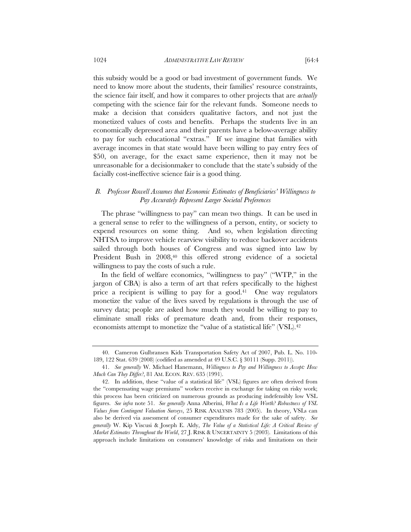this subsidy would be a good or bad investment of government funds. We need to know more about the students, their families' resource constraints, the science fair itself, and how it compares to other projects that are *actually* competing with the science fair for the relevant funds. Someone needs to make a decision that considers qualitative factors, and not just the monetized values of costs and benefits. Perhaps the students live in an economically depressed area and their parents have a below-average ability to pay for such educational "extras." If we imagine that families with average incomes in that state would have been willing to pay entry fees of \$50, on average, for the exact same experience, then it may not be unreasonable for a decisionmaker to conclude that the state's subsidy of the facially cost-ineffective science fair is a good thing.

# *B. Professor Rowell Assumes that Economic Estimates of Beneficiaries' Willingness to Pay Accurately Represent Larger Societal Preferences*

The phrase "willingness to pay" can mean two things. It can be used in a general sense to refer to the willingness of a person, entity, or society to expend resources on some thing. And so, when legislation directing NHTSA to improve vehicle rearview visibility to reduce backover accidents sailed through both houses of Congress and was signed into law by President Bush in 2008,<sup>40</sup> this offered strong evidence of a societal willingness to pay the costs of such a rule.

In the field of welfare economics, "willingness to pay" ("WTP," in the jargon of CBA) is also a term of art that refers specifically to the highest price a recipient is willing to pay for a good.<sup>41</sup> One way regulators monetize the value of the lives saved by regulations is through the use of survey data; people are asked how much they would be willing to pay to eliminate small risks of premature death and, from their responses, economists attempt to monetize the "value of a statistical life" (VSL).<sup>42</sup>

 <sup>40.</sup> Cameron Gulbransen Kids Transportation Safety Act of 2007, Pub. L. No. 110- 189, 122 Stat. 639 (2008) (codified as amended at 49 U.S.C. § 30111 (Supp. 2011)).

 <sup>41.</sup> *See generally* W. Michael Hanemann, *Willingness to Pay and Willingness to Accept: How Much Can They Differ?*, 81 AM. ECON. REV. 635 (1991).

 <sup>42.</sup> In addition, these "value of a statistical life" (VSL) figures are often derived from the "compensating wage premiums" workers receive in exchange for taking on risky work; this process has been criticized on numerous grounds as producing indefensibly low VSL figures. *See infra* note 51. *See generally* Anna Alberini, *What Is a Life Worth? Robustness of VSL Values from Contingent Valuation Surveys*, 25 RISK ANALYSIS 783 (2005). In theory, VSLs can also be derived via assessment of consumer expenditures made for the sake of safety. *See generally* W. Kip Viscusi & Joseph E. Aldy, *The Value of a Statistical Life: A Critical Review of Market Estimates Throughout the World*, 27 J. RISK & UNCERTAINTY 5 (2003). Limitations of this approach include limitations on consumers' knowledge of risks and limitations on their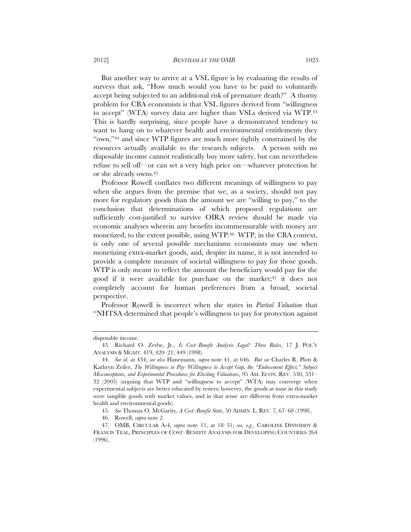But another way to arrive at a VSL figure is by evaluating the results of surveys that ask, "How much would you have to be paid to voluntarily accept being subjected to an additional risk of premature death?" A thorny problem for CBA economists is that VSL figures derived from "willingness to accept" (WTA) survey data are higher than VSLs derived via WTP.43 This is hardly surprising, since people have a demonstrated tendency to want to hang on to whatever health and environmental entitlements they "own,"44 and since WTP figures are much more tightly constrained by the resources actually available to the research subjects. A person with no disposable income cannot realistically buy more safety, but can nevertheless refuse to sell off—or can set a very high price on—whatever protection he or she already owns.45

Professor Rowell conflates two different meanings of willingness to pay when she argues from the premise that we, as a society, should not pay more for regulatory goods than the amount we are "willing to pay," to the conclusion that determinations of which proposed regulations are sufficiently cost-justified to survive OIRA review should be made via economic analyses wherein any benefits incommensurable with money are monetized, to the extent possible, using WTP.46 WTP, in the CBA context, is only one of several possible mechanisms economists may use when monetizing extra-market goods, and, despite its name, it is not intended to provide a complete measure of societal willingness to pay for those goods. WTP is only meant to reflect the amount the beneficiary would pay for the good if it were available for purchase on the market;47 it does not completely account for human preferences from a broad, societal perspective.

Professor Rowell is incorrect when she states in *Partial Valuation* that "NHTSA determined that people's willingness to pay for protection against

disposable income.

 <sup>43.</sup> Richard O. Zerbe, Jr., *Is Cost–Benefit Analysis Legal? Three Rules*, 17 J. POL'Y ANALYSIS & MGMT. 419, 420–21, 449 (1998).

 <sup>44.</sup> *See id.* at 434; *see also* Hanemann, *supra* note 41, at 646. *But see* Charles R. Plott & Kathryn Zeiler, *The Willingness to Pay–Willingness to Accept Gap, the "Endowment Effect," Subject Misconceptions, and Experimental Procedures for Eliciting Valuations*, 95 AM. ECON. REV. 530, 531– 32 (2005) (arguing that WTP and "willingness to accept" (WTA) may converge when experimental subjects are better educated by testers; however, the goods at issue in this study were tangible goods with market values, and in that sense are different from extra-market health and environmental goods).

 <sup>45.</sup> *See* Thomas O. McGarity, *A Cost–Benefit State*, 50 ADMIN. L. REV. 7, 67–68 (1998).

 <sup>46.</sup> Rowell, *supra* note 2.

 <sup>47.</sup> OMB, CIRCULAR A-4, *supra* note 11, at 18–31; *see, e.g.*, CAROLINE DINWIDDY & FRANCIS TEAL, PRINCIPLES OF COST–BENEFIT ANALYSIS FOR DEVELOPING COUNTRIES 264 (1996).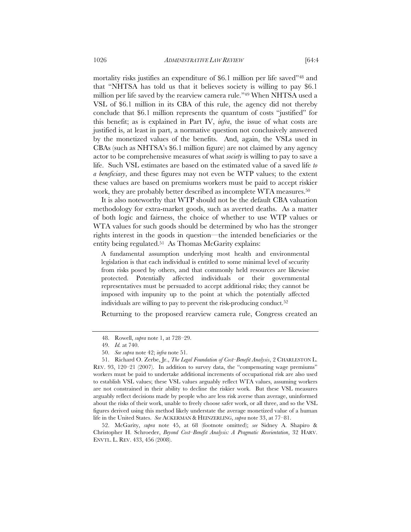mortality risks justifies an expenditure of \$6.1 million per life saved"48 and that "NHTSA has told us that it believes society is willing to pay \$6.1 million per life saved by the rearview camera rule."49 When NHTSA used a VSL of \$6.1 million in its CBA of this rule, the agency did not thereby conclude that \$6.1 million represents the quantum of costs "justified" for this benefit; as is explained in Part IV, *infra*, the issue of what costs are justified is, at least in part, a normative question not conclusively answered by the monetized values of the benefits. And, again, the VSLs used in CBAs (such as NHTSA's \$6.1 million figure) are not claimed by any agency actor to be comprehensive measures of what *society* is willing to pay to save a life. Such VSL estimates are based on the estimated value of a saved life *to* 

*a beneficiary*, and these figures may not even be WTP values; to the extent these values are based on premiums workers must be paid to accept riskier work, they are probably better described as incomplete WTA measures.<sup>50</sup>

It is also noteworthy that WTP should not be the default CBA valuation methodology for extra-market goods, such as averted deaths. As a matter of both logic and fairness, the choice of whether to use WTP values or WTA values for such goods should be determined by who has the stronger rights interest in the goods in question—the intended beneficiaries or the entity being regulated.<sup>51</sup> As Thomas McGarity explains:

A fundamental assumption underlying most health and environmental legislation is that each individual is entitled to some minimal level of security from risks posed by others, and that commonly held resources are likewise protected. Potentially affected individuals or their governmental representatives must be persuaded to accept additional risks; they cannot be imposed with impunity up to the point at which the potentially affected individuals are willing to pay to prevent the risk-producing conduct.<sup>52</sup>

Returning to the proposed rearview camera rule, Congress created an

 52. McGarity, *supra* note 45, at 68 (footnote omitted); *see* Sidney A. Shapiro & Christopher H. Schroeder, *Beyond Cost–Benefit Analysis: A Pragmatic Reorientation*, 32 HARV. ENVTL. L. REV. 433, 456 (2008).

 <sup>48.</sup> Rowell, *supra* note 1, at 728–29.

 <sup>49.</sup> *Id.* at 740.

 <sup>50.</sup> *See supra* note 42; *infra* note 51.

 <sup>51.</sup> Richard O. Zerbe, Jr., *The Legal Foundation of Cost–Benefit Analysis*, 2 CHARLESTON L. REV. 93, 120–21 (2007). In addition to survey data, the "compensating wage premiums" workers must be paid to undertake additional increments of occupational risk are also used to establish VSL values; these VSL values arguably reflect WTA values, assuming workers are not constrained in their ability to decline the riskier work. But these VSL measures arguably reflect decisions made by people who are less risk averse than average, uninformed about the risks of their work, unable to freely choose safer work, or all three, and so the VSL figures derived using this method likely understate the average monetized value of a human life in the United States. *See* ACKERMAN & HEINZERLING, *supra* note 33, at 77–81.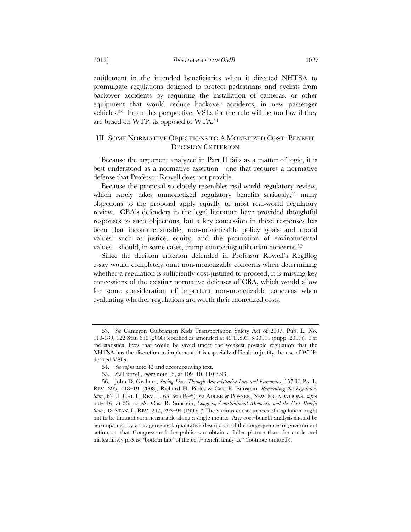entitlement in the intended beneficiaries when it directed NHTSA to promulgate regulations designed to protect pedestrians and cyclists from backover accidents by requiring the installation of cameras, or other equipment that would reduce backover accidents, in new passenger vehicles.53 From this perspective, VSLs for the rule will be too low if they are based on WTP, as opposed to WTA.54

## III. SOME NORMATIVE OBJECTIONS TO A MONETIZED COST–BENEFIT DECISION CRITERION

Because the argument analyzed in Part II fails as a matter of logic, it is best understood as a normative assertion—one that requires a normative defense that Professor Rowell does not provide.

Because the proposal so closely resembles real-world regulatory review, which rarely takes unmonetized regulatory benefits seriously,<sup>55</sup> many objections to the proposal apply equally to most real-world regulatory review. CBA's defenders in the legal literature have provided thoughtful responses to such objections, but a key concession in these responses has been that incommensurable, non-monetizable policy goals and moral values—such as justice, equity, and the promotion of environmental values—should, in some cases, trump competing utilitarian concerns.56

Since the decision criterion defended in Professor Rowell's RegBlog essay would completely omit non-monetizable concerns when determining whether a regulation is sufficiently cost-justified to proceed, it is missing key concessions of the existing normative defenses of CBA, which would allow for some consideration of important non-monetizable concerns when evaluating whether regulations are worth their monetized costs.

 <sup>53.</sup> *See* Cameron Gulbransen Kids Transportation Safety Act of 2007, Pub. L. No. 110-189, 122 Stat. 639 (2008) (codified as amended at 49 U.S.C. § 30111 (Supp. 2011)). For the statistical lives that would be saved under the weakest possible regulation that the NHTSA has the discretion to implement, it is especially difficult to justify the use of WTPderived VSLs.

 <sup>54.</sup> *See supra* note 43 and accompanying text.

 <sup>55.</sup> *See* Luttrell, *supra* note 15, at 109–10, 110 n.93.

 <sup>56.</sup> John D. Graham, *Saving Lives Through Administrative Law and Economics*, 157 U. PA. L. REV. 395, 418–19 (2008); Richard H. Pildes & Cass R. Sunstein, *Reinventing the Regulatory State*, 62 U. CHI. L. REV. 1, 65–66 (1995); *see* ADLER & POSNER, NEW FOUNDATIONS, *supra*  note 16, at 53; *see also* Cass R. Sunstein, *Congress, Constitutional Moments, and the Cost–Benefit State*, 48 STAN. L. REV. 247, 293–94 (1996) ("The various consequences of regulation ought not to be thought commensurable along a single metric. Any cost–benefit analysis should be accompanied by a disaggregated, qualitative description of the consequences of government action, so that Congress and the public can obtain a fuller picture than the crude and misleadingly precise 'bottom line' of the cost–benefit analysis." (footnote omitted)).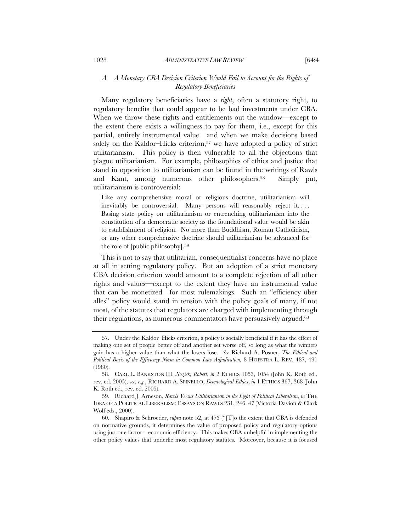## *A. A Monetary CBA Decision Criterion Would Fail to Account for the Rights of Regulatory Beneficiaries*

Many regulatory beneficiaries have a *right*, often a statutory right, to regulatory benefits that could appear to be bad investments under CBA. When we throw these rights and entitlements out the window—except to the extent there exists a willingness to pay for them, i.e., except for this partial, entirely instrumental value—and when we make decisions based solely on the Kaldor–Hicks criterion,<sup>57</sup> we have adopted a policy of strict utilitarianism. This policy is then vulnerable to all the objections that plague utilitarianism. For example, philosophies of ethics and justice that stand in opposition to utilitarianism can be found in the writings of Rawls and Kant, among numerous other philosophers.58 Simply put, utilitarianism is controversial:

Like any comprehensive moral or religious doctrine, utilitarianism will inevitably be controversial. Many persons will reasonably reject it. . . . Basing state policy on utilitarianism or entrenching utilitarianism into the constitution of a democratic society as the foundational value would be akin to establishment of religion. No more than Buddhism, Roman Catholicism, or any other comprehensive doctrine should utilitarianism be advanced for the role of [public philosophy].59

This is not to say that utilitarian, consequentialist concerns have no place at all in setting regulatory policy. But an adoption of a strict monetary CBA decision criterion would amount to a complete rejection of all other rights and values—except to the extent they have an instrumental value that can be monetized—for most rulemakings. Such an "efficiency über alles" policy would stand in tension with the policy goals of many, if not most, of the statutes that regulators are charged with implementing through their regulations, as numerous commentators have persuasively argued. $60$ 

 60. Shapiro & Schroeder, *supra* note 52, at 473 ("[T]o the extent that CBA is defended on normative grounds, it determines the value of proposed policy and regulatory options using just one factor—economic efficiency. This makes CBA unhelpful in implementing the other policy values that underlie most regulatory statutes. Moreover, because it is focused

 <sup>57.</sup> Under the Kaldor–Hicks criterion, a policy is socially beneficial if it has the effect of making one set of people better off and another set worse off, so long as what the winners gain has a higher value than what the losers lose. *See* Richard A. Posner, *The Ethical and Political Basis of the Efficiency Norm in Common Law Adjudication,* 8 HOFSTRA L. REV. 487, 491 (1980).

 <sup>58.</sup> CARL L. BANKSTON III, *Nozick, Robert*, *in* 2 ETHICS 1053, 1054 (John K. Roth ed., rev. ed. 2005); s*ee, e.g.*, RICHARD A. SPINELLO, *Deontological Ethics*, *in* 1 ETHICS 367, 368 (John K. Roth ed., rev. ed. 2005).

 <sup>59.</sup> Richard J. Arneson, *Rawls Versus Utilitarianism in the Light of Political Liberalism*, *in* THE IDEA OF A POLITICAL LIBERALISM: ESSAYS ON RAWLS 231, 246–47 (Victoria Davion & Clark Wolf eds., 2000).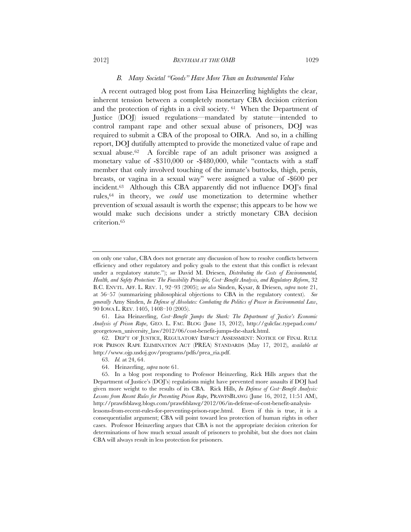#### *B. Many Societal "Goods" Have More Than an Instrumental Value*

A recent outraged blog post from Lisa Heinzerling highlights the clear, inherent tension between a completely monetary CBA decision criterion and the protection of rights in a civil society. 61 When the Department of Justice (DOJ) issued regulations—mandated by statute—intended to control rampant rape and other sexual abuse of prisoners, DOJ was required to submit a CBA of the proposal to OIRA. And so, in a chilling report, DOJ dutifully attempted to provide the monetized value of rape and sexual abuse.62 A forcible rape of an adult prisoner was assigned a monetary value of -\$310,000 or -\$480,000, while "contacts with a staff member that only involved touching of the inmate's buttocks, thigh, penis, breasts, or vagina in a sexual way" were assigned a value of -\$600 per incident.<sup>63</sup> Although this CBA apparently did not influence DOJ's final rules,64 in theory, we *could* use monetization to determine whether prevention of sexual assault is worth the expense; this appears to be how we would make such decisions under a strictly monetary CBA decision criterion.65

on only one value, CBA does not generate any discussion of how to resolve conflicts between efficiency and other regulatory and policy goals to the extent that this conflict is relevant under a regulatory statute."); *see* David M. Driesen, *Distributing the Costs of Environmental, Health, and Safety Protection: The Feasibility Principle, Cost–Benefit Analysis, and Regulatory Reform*, 32 B.C. ENVTL. AFF. L. REV. 1, 92–93 (2005); *see also* Sinden, Kysar, & Driesen, *supra* note 21, at 56–57 (summarizing philosophical objections to CBA in the regulatory context). *See generally* Amy Sinden, *In Defense of Absolutes: Combating the Politics of Power in Environmental Law*, 90 IOWA L. REV. 1405, 1408–10 (2005).

 <sup>61.</sup> Lisa Heinzerling, *Cost–Benefit Jumps the Shark: The Department of Justice's Economic Analysis of Prison Rape*, GEO. L. FAC. BLOG (June 13, 2012), http://gulcfac.typepad.com/ georgetown\_university\_law/2012/06/cost-benefit-jumps-the-shark.html.

 <sup>62.</sup> DEP'T OF JUSTICE, REGULATORY IMPACT ASSESSMENT: NOTICE OF FINAL RULE FOR PRISON RAPE ELIMINATION ACT (PREA) STANDARDS (May 17, 2012), *available at* http://www.ojp.usdoj.gov/programs/pdfs/prea\_ria.pdf.

 <sup>63.</sup> *Id.* at 24, 64.

 <sup>64.</sup> Heinzerling, *supra* note 61.

 <sup>65.</sup> In a blog post responding to Professor Heinzerling, Rick Hills argues that the Department of Justice's (DOJ's) regulations might have prevented more assaults if DOJ had given more weight to the results of its CBA. Rick Hills, *In Defense of Cost–Benefit Analysis: Lessons from Recent Rules for Preventing Prison Rape*, PRAWFSBLAWG (June 16, 2012, 11:51 AM), http://prawfsblawg.blogs.com/prawfsblawg/2012/06/in-defense-of-cost-benefit-analysislessons-from-recent-rules-for-preventing-prison-rape.html. Even if this is true, it is a consequentialist argument; CBA will point toward less protection of human rights in other cases. Professor Heinzerling argues that CBA is not the appropriate decision criterion for determinations of how much sexual assault of prisoners to prohibit, but she does not claim CBA will always result in less protection for prisoners.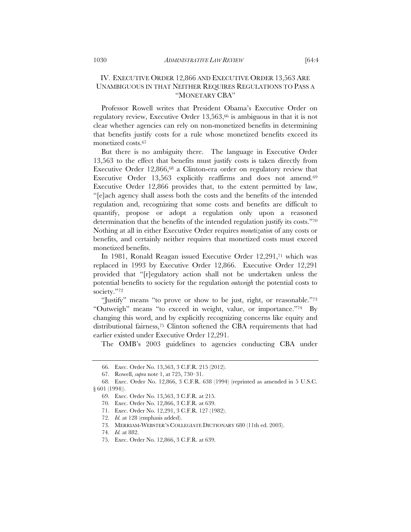# IV. EXECUTIVE ORDER 12,866 AND EXECUTIVE ORDER 13,563 ARE UNAMBIGUOUS IN THAT NEITHER REQUIRES REGULATIONS TO PASS A "MONETARY CBA"

Professor Rowell writes that President Obama's Executive Order on regulatory review, Executive Order 13,563,<sup>66</sup> is ambiguous in that it is not clear whether agencies can rely on non-monetized benefits in determining that benefits justify costs for a rule whose monetized benefits exceed its monetized costs.67

But there is no ambiguity there. The language in Executive Order 13,563 to the effect that benefits must justify costs is taken directly from Executive Order 12,866,<sup>68</sup> a Clinton-era order on regulatory review that Executive Order 13,563 explicitly reaffirms and does not amend.<sup>69</sup> Executive Order 12,866 provides that, to the extent permitted by law, "[e]ach agency shall assess both the costs and the benefits of the intended regulation and, recognizing that some costs and benefits are difficult to quantify, propose or adopt a regulation only upon a reasoned determination that the benefits of the intended regulation justify its costs."70 Nothing at all in either Executive Order requires *monetization* of any costs or benefits, and certainly neither requires that monetized costs must exceed monetized benefits.

In 1981, Ronald Reagan issued Executive Order 12,291,71 which was replaced in 1993 by Executive Order 12,866. Executive Order 12,291 provided that "[r]egulatory action shall not be undertaken unless the potential benefits to society for the regulation *outweigh* the potential costs to society."72

"Justify" means "to prove or show to be just, right, or reasonable."73 "Outweigh" means "to exceed in weight, value, or importance."74 By changing this word, and by explicitly recognizing concerns like equity and distributional fairness,75 Clinton softened the CBA requirements that had earlier existed under Executive Order 12,291.

The OMB's 2003 guidelines to agencies conducting CBA under

 <sup>66.</sup> Exec. Order No. 13,563, 3 C.F.R. 215 (2012).

 <sup>67.</sup> Rowell, *supra* note 1, at 725, 730–31.

 <sup>68.</sup> Exec. Order No. 12,866, 3 C.F.R. 638 (1994) (reprinted as amended in 5 U.S.C. § 601 (1994)).

 <sup>69.</sup> Exec. Order No. 13,563, 3 C.F.R. at 215.

 <sup>70.</sup> Exec. Order No. 12,866, 3 C.F.R. at 639.

 <sup>71.</sup> Exec. Order No. 12,291, 3 C.F.R. 127 (1982).

 <sup>72.</sup> *Id.* at 128 (emphasis added).

 <sup>73.</sup> MERRIAM-WEBSTER'S COLLEGIATE DICTIONARY 680 (11th ed. 2003).

 <sup>74.</sup> *Id.* at 882.

 <sup>75.</sup> Exec. Order No. 12,866, 3 C.F.R. at 639.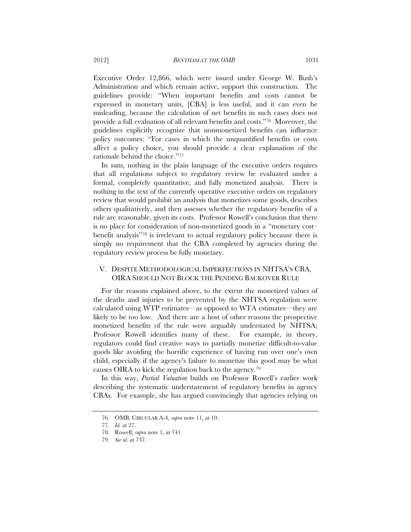Executive Order 12,866, which were issued under George W. Bush's Administration and which remain active, support this construction. The guidelines provide: "When important benefits and costs cannot be expressed in monetary units, [CBA] is less useful, and it can even be misleading, because the calculation of net benefits in such cases does not provide a full evaluation of all relevant benefits and costs."76 Moreover, the guidelines explicitly recognize that nonmonetized benefits can influence policy outcomes: "For cases in which the unquantified benefits or costs affect a policy choice, you should provide a clear explanation of the rationale behind the choice."77

In sum, nothing in the plain language of the executive orders requires that all regulations subject to regulatory review be evaluated under a formal, completely quantitative, and fully monetized analysis. There is nothing in the text of the currently operative executive orders on regulatory review that would prohibit an analysis that monetizes some goods, describes others qualitatively, and then assesses whether the regulatory benefits of a rule are reasonable, given its costs. Professor Rowell's conclusion that there is no place for consideration of non-monetized goods in a "monetary cost– benefit analysis"78 is irrelevant to actual regulatory policy because there is simply no requirement that the CBA completed by agencies during the regulatory review process be fully monetary.

# V. DESPITE METHODOLOGICAL IMPERFECTIONS IN NHTSA'S CBA, OIRA SHOULD NOT BLOCK THE PENDING BACKOVER RULE

For the reasons explained above, to the extent the monetized values of the deaths and injuries to be prevented by the NHTSA regulation were calculated using WTP estimates—as opposed to WTA estimates—they are likely to be too low. And there are a host of other reasons the prospective monetized benefits of the rule were arguably understated by NHTSA; Professor Rowell identifies many of these. For example, in theory, regulators could find creative ways to partially monetize difficult-to-value goods like avoiding the horrific experience of having run over one's own child, especially if the agency's failure to monetize this good may be what causes OIRA to kick the regulation back to the agency.79

In this way, *Partial Valuation* builds on Professor Rowell's earlier work describing the systematic understatement of regulatory benefits in agency CBAs. For example, she has argued convincingly that agencies relying on

 <sup>76.</sup> OMB, CIRCULAR A-4, *supra* note 11, at 10.

 <sup>77.</sup> *Id.* at 27.

 <sup>78.</sup> Rowell, *supra* note 1, at 741.

 <sup>79.</sup> *See id*. at 737.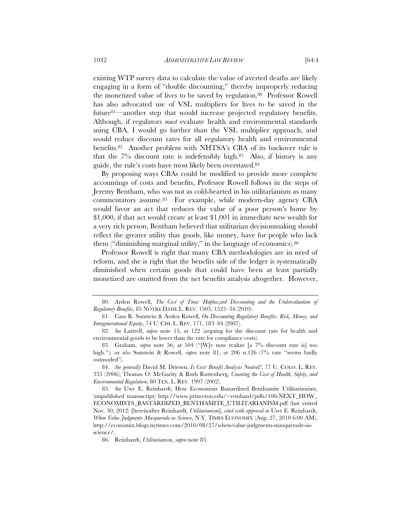existing WTP survey data to calculate the value of averted deaths are likely engaging in a form of "double discounting," thereby improperly reducing the monetized value of lives to be saved by regulation.80 Professor Rowell has also advocated use of VSL multipliers for lives to be saved in the future81—another step that would increase projected regulatory benefits. Although, if regulators *must* evaluate health and environmental standards using CBA, I would go further than the VSL multiplier approach, and would reduce discount rates for all regulatory health and environmental benefits.82 Another problem with NHTSA's CBA of its backover rule is that the  $7\%$  discount rate is indefensibly high.<sup>83</sup> Also, if history is any guide, the rule's costs have most likely been overstated.84

By proposing ways CBAs could be modified to provide more complete accountings of costs and benefits, Professor Rowell follows in the steps of Jeremy Bentham, who was not as cold-hearted in his utilitarianism as many commentators assume.85 For example, while modern-day agency CBA would favor an act that reduces the value of a poor person's home by \$1,000, if that act would create at least \$1,001 in immediate new wealth for a very rich person, Bentham believed that utilitarian decisionmaking should reflect the greater utility that goods, like money, have for people who lack them ("diminishing marginal utility," in the language of economics).86

Professor Rowell is right that many CBA methodologies are in need of reform, and she is right that the benefits side of the ledger is systematically diminished when certain goods that could have been at least partially monetized are omitted from the net benefits analysis altogether. However,

 84. *See generally* David M. Driesen, *Is Cost–Benefit Analysis Neutral?*, 77 U. COLO. L. REV. 335 (2006); Thomas O. McGarity & Ruth Ruttenberg, *Counting the Cost of Health, Safety, and Environmental Regulation*, 80 TEX. L. REV. 1997 (2002).

 <sup>80.</sup> Arden Rowell, *The Cost of Time: Haphazard Discounting and the Undervaluation of Regulatory Benefits*, 85 NOTRE DAME L. REV. 1505, 1525–34 (2010).

 <sup>81.</sup> Cass R. Sunstein & Arden Rowell, *On Discounting Regulatory Benefits: Risk, Money, and Intergenerational Equity*, 74 U. CHI. L. REV. 171, 183–84 (2007).

 <sup>82.</sup> *See* Luttrell, *supra* note 15, at 122 (arguing for the discount rate for health and environmental goods to be lower than the rate for compliance costs).

 <sup>83.</sup> Graham, *supra* note 56, at 504 ("[W]e now realize [a 7% discount rate is] too high."); *see also* Sunstein & Rowell, *supra* note 81, at 206 n.126 (7% rate "seems badly outmoded").

 <sup>85.</sup> *See* Uwe E. Reinhardt, How Economists Bastardized Benthamite Utilitarianism, (unpublished manuscript) http://www.princeton.edu/~reinhard/pdfs/100-NEXT\_HOW\_ ECONOMISTS\_BASTARDIZED\_BENTHAMITE\_UTILITARIANISM.pdf (last visited Nov. 30, 2012) [hereinafter Reinhardt, *Utilitarianism*], *cited with approval in* Uwe E. Reinhardt, *When Value Judgments Masquerade as Science*, N.Y. TIMES ECONOMIX (Aug. 27, 2010 6:00 AM), http://economix.blogs.nytimes.com/2010/08/27/when-value-judgments-masquerade-asscience/.

 <sup>86.</sup> Reinhardt, *Utilitarianism*, *supra* note 85.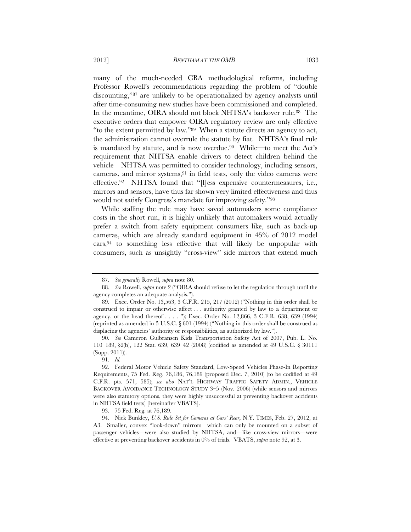many of the much-needed CBA methodological reforms, including Professor Rowell's recommendations regarding the problem of "double discounting,"87 are unlikely to be operationalized by agency analysts until after time-consuming new studies have been commissioned and completed. In the meantime, OIRA should not block NHTSA's backover rule.<sup>88</sup> The executive orders that empower OIRA regulatory review are only effective "to the extent permitted by law."89 When a statute directs an agency to act, the administration cannot overrule the statute by fiat. NHTSA's final rule is mandated by statute, and is now overdue.<sup>90</sup> While—to meet the Act's requirement that NHTSA enable drivers to detect children behind the vehicle—NHTSA was permitted to consider technology, including sensors, cameras, and mirror systems, $91$  in field tests, only the video cameras were effective.92 NHTSA found that "[l]ess expensive countermeasures, i.e., mirrors and sensors, have thus far shown very limited effectiveness and thus would not satisfy Congress's mandate for improving safety."93

While stalling the rule may have saved automakers some compliance costs in the short run, it is highly unlikely that automakers would actually prefer a switch from safety equipment consumers like, such as back-up cameras, which are already standard equipment in 45% of 2012 model cars,94 to something less effective that will likely be unpopular with consumers, such as unsightly "cross-view" side mirrors that extend much

 90. *See* Cameron Gulbransen Kids Transportation Safety Act of 2007, Pub. L. No. 110–189, §2(b), 122 Stat. 639, 639–42 (2008) (codified as amended at 49 U.S.C. § 30111 (Supp. 2011)).

91. *Id.*

 <sup>87.</sup> *See generally* Rowell, *supra* note 80.

 <sup>88.</sup> *See* Rowell, *supra* note 2 ("OIRA should refuse to let the regulation through until the agency completes an adequate analysis.").

 <sup>89.</sup> Exec. Order No. 13,563, 3 C.F.R. 215, 217 (2012) ("Nothing in this order shall be construed to impair or otherwise affect . . . authority granted by law to a department or agency, or the head thereof . . . . "); Exec. Order No. 12,866, 3 C.F.R. 638, 639 (1994) (reprinted as amended in 5 U.S.C. § 601 (1994) ("Nothing in this order shall be construed as displacing the agencies' authority or responsibilities, as authorized by law.").

 <sup>92.</sup> Federal Motor Vehicle Safety Standard, Low-Speed Vehicles Phase-In Reporting Requirements, 75 Fed. Reg. 76,186, 76,189 (proposed Dec. 7, 2010) (to be codified at 49 C.F.R. pts. 571, 585); *see also* NAT'L HIGHWAY TRAFFIC SAFETY ADMIN., VEHICLE BACKOVER AVOIDANCE TECHNOLOGY STUDY 3–5 (Nov. 2006) (while sensors and mirrors were also statutory options, they were highly unsuccessful at preventing backover accidents in NHTSA field tests) [hereinafter VBATS].

 <sup>93. 75</sup> Fed. Reg. at 76,189.

 <sup>94.</sup> Nick Bunkley, *U.S. Rule Set for Cameras at Cars' Rear*, N.Y. TIMES, Feb. 27, 2012, at A3. Smaller, convex "look-down" mirrors—which can only be mounted on a subset of passenger vehicles—were also studied by NHTSA, and—like cross-view mirrors—were effective at preventing backover accidents in 0% of trials. VBATS, *supra* note 92, at 3.